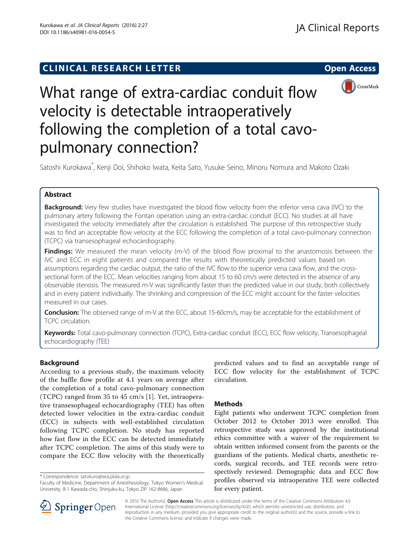# **CLINICAL RESEARCH LETTER CLINICAL RESEARCH LETTER Open Access**



# What range of extra-cardiac conduit flow velocity is detectable intraoperatively following the completion of a total cavopulmonary connection?

Satoshi Kurokawa\* , Kenji Doi, Shihoko Iwata, Keita Sato, Yusuke Seino, Minoru Nomura and Makoto Ozaki

## Abstract

Background: Very few studies have investigated the blood flow velocity from the inferior vena cava (IVC) to the pulmonary artery following the Fontan operation using an extra-cardiac conduit (ECC). No studies at all have investigated the velocity immediately after the circulation is established. The purpose of this retrospective study was to find an acceptable flow velocity at the ECC following the completion of a total cavo-pulmonary connection (TCPC) via transesophageal echocardiography.

**Findings:** We measured the mean velocity (m-V) of the blood flow proximal to the anastomosis between the IVC and ECC in eight patients and compared the results with theoretically predicted values based on assumptions regarding the cardiac output, the ratio of the IVC flow to the superior vena cava flow, and the crosssectional form of the ECC. Mean velocities ranging from about 15 to 60 cm/s were detected in the absence of any observable stenosis. The measured m-V was significantly faster than the predicted value in our study, both collectively and in every patient individually. The shrinking and compression of the ECC might account for the faster velocities measured in our cases.

Conclusion: The observed range of m-V at the ECC, about 15-60cm/s, may be acceptable for the establishment of TCPC circulation.

Keywords: Total cavo-pulmonary connection (TCPC), Extra-cardiac conduit (ECC), ECC flow velocity, Transesophageal echocardiography (TEE)

## Background

According to a previous study, the maximum velocity of the baffle flow profile at 4.1 years on average after the completion of a total cavo-pulmonary connection (TCPC) ranged from 35 to 45 cm/s [[1\]](#page-4-0). Yet, intraoperative transesophageal echocardiography (TEE) has often detected lower velocities in the extra-cardiac conduit (ECC) in subjects with well-established circulation following TCPC completion. No study has reported how fast flow in the ECC can be detected immediately after TCPC completion. The aims of this study were to compare the ECC flow velocity with the theoretically

\* Correspondence: [satokuro@sea.plala.or.jp](mailto:satokuro@sea.plala.or.jp)

predicted values and to find an acceptable range of ECC flow velocity for the establishment of TCPC circulation.

## **Methods**

Eight patients who underwent TCPC completion from October 2012 to October 2013 were enrolled. This retrospective study was approved by the institutional ethics committee with a waiver of the requirement to obtain written informed consent from the parents or the guardians of the patients. Medical charts, anesthetic records, surgical records, and TEE records were retrospectively reviewed. Demographic data and ECC flow profiles observed via intraoperative TEE were collected for every patient.



© 2016 The Author(s). Open Access This article is distributed under the terms of the Creative Commons Attribution 4.0 International License ([http://creativecommons.org/licenses/by/4.0/\)](http://creativecommons.org/licenses/by/4.0/), which permits unrestricted use, distribution, and reproduction in any medium, provided you give appropriate credit to the original author(s) and the source, provide a link to the Creative Commons license, and indicate if changes were made.

Faculty of Medicine, Department of Anesthesiology, Tokyo Women's Medical University, 8-1 Kawada-cho, Shinjuku-ku, Tokyo ZIP 162-8666, Japan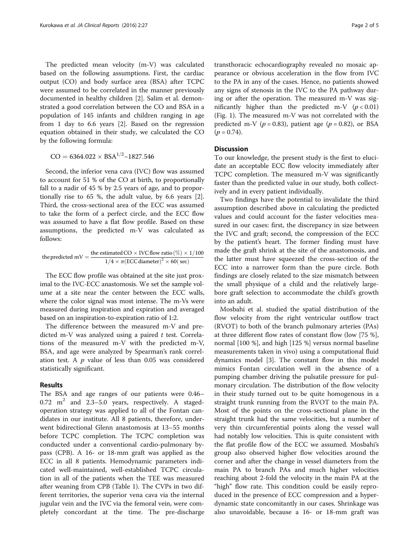The predicted mean velocity (m-V) was calculated based on the following assumptions. First, the cardiac output (CO) and body surface area (BSA) after TCPC were assumed to be correlated in the manner previously documented in healthy children [\[2](#page-4-0)]. Salim et al. demonstrated a good correlation between the CO and BSA in a population of 145 infants and children ranging in age from 1 day to 6.6 years [[2\]](#page-4-0). Based on the regression equation obtained in their study, we calculated the CO by the following formula:

## $CO = 6364.022 \times BSA^{1/2} - 1827.546$

Second, the inferior vena cava (IVC) flow was assumed to account for 51 % of the CO at birth, to proportionally fall to a nadir of 45 % by 2.5 years of age, and to proportionally rise to 65 %, the adult value, by 6.6 years [\[2](#page-4-0)]. Third, the cross-sectional area of the ECC was assumed to take the form of a perfect circle, and the ECC flow was assumed to have a flat flow profile. Based on these assumptions, the predicted m-V was calculated as follows:

the predicted mV = 
$$
\frac{\text{the estimated CO} \times \text{IVC flow ratio} (\%) \times 1/100}{1/4 \times \pi (\text{ECC diameter})^2 \times 60 (\text{sec})}
$$

The ECC flow profile was obtained at the site just proximal to the IVC-ECC anastomosis. We set the sample volume at a site near the center between the ECC walls, where the color signal was most intense. The m-Vs were measured during inspiration and expiration and averaged based on an inspiration-to-expiration ratio of 1:2.

The difference between the measured m-V and predicted m-V was analyzed using a paired  $t$  test. Correlations of the measured m-V with the predicted m-V, BSA, and age were analyzed by Spearman's rank correlation test. A  $p$  value of less than 0.05 was considered statistically significant.

#### Results

The BSA and age ranges of our patients were 0.46–  $0.72$  m<sup>2</sup> and  $2.3-5.0$  years, respectively. A stagedoperation strategy was applied to all of the Fontan candidates in our institute. All 8 patients, therefore, underwent bidirectional Glenn anastomosis at 13–55 months before TCPC completion. The TCPC completion was conducted under a conventional cardio-pulmonary bypass (CPB). A 16- or 18-mm graft was applied as the ECC in all 8 patients. Hemodynamic parameters indicated well-maintained, well-established TCPC circulation in all of the patients when the TEE was measured after weaning from CPB (Table [1](#page-2-0)). The CVPs in two different territories, the superior vena cava via the internal jugular vein and the IVC via the femoral vein, were completely concordant at the time. The pre-discharge transthoracic echocardiography revealed no mosaic appearance or obvious acceleration in the flow from IVC to the PA in any of the cases. Hence, no patients showed any signs of stenosis in the IVC to the PA pathway during or after the operation. The measured m-V was significantly higher than the predicted m-V  $(p < 0.01)$ (Fig. [1\)](#page-3-0). The measured m-V was not correlated with the predicted m-V ( $p = 0.83$ ), patient age ( $p = 0.82$ ), or BSA  $(p = 0.74)$ .

#### **Discussion**

To our knowledge, the present study is the first to elucidate an acceptable ECC flow velocity immediately after TCPC completion. The measured m-V was significantly faster than the predicted value in our study, both collectively and in every patient individually.

Two findings have the potential to invalidate the third assumption described above in calculating the predicted values and could account for the faster velocities measured in our cases: first, the discrepancy in size between the IVC and graft; second, the compression of the ECC by the patient's heart. The former finding must have made the graft shrink at the site of the anastomosis, and the latter must have squeezed the cross-section of the ECC into a narrower form than the pure circle. Both findings are closely related to the size mismatch between the small physique of a child and the relatively largebore graft selection to accommodate the child's growth into an adult.

Mosbahi et al. studied the spatial distribution of the flow velocity from the right ventricular outflow tract (RVOT) to both of the branch pulmonary arteries (PAs) at three different flow rates of constant flow (low [75 %], normal [100 %], and high [125 %] versus normal baseline measurements taken in vivo) using a computational fluid dynamics model [[3\]](#page-4-0). The constant flow in this model mimics Fontan circulation well in the absence of a pumping chamber driving the pulsatile pressure for pulmonary circulation. The distribution of the flow velocity in their study turned out to be quite homogenous in a straight trunk running from the RVOT to the main PA. Most of the points on the cross-sectional plane in the straight trunk had the same velocities, but a number of very thin circumferential points along the vessel wall had notably low velocities. This is quite consistent with the flat profile flow of the ECC we assumed. Mosbahi's group also observed higher flow velocities around the corner and after the change in vessel diameters from the main PA to branch PAs and much higher velocities reaching about 2-fold the velocity in the main PA at the "high" flow rate. This condition could be easily reproduced in the presence of ECC compression and a hyperdynamic state concomitantly in our cases. Shrinkage was also unavoidable, because a 16- or 18-mm graft was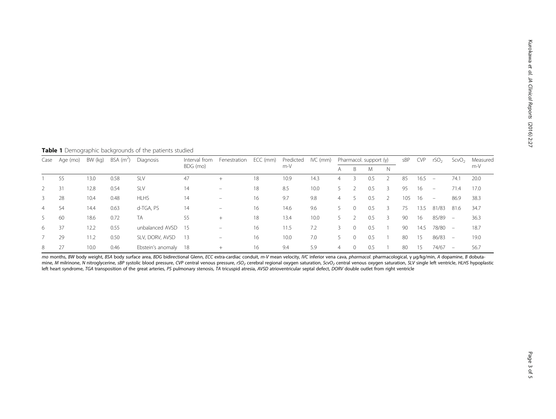<span id="page-2-0"></span>Table 1 Demographic backgrounds of the patients studied

| Case           | Age (mo) | BW (kg) | BSA $(m^2)$ | Diagnosis            | Interval from<br>BDG (mo) | Fenestration             | ECC (mm) | Predicted<br>$m-V$ | IVC (mm) | Pharmacol. support $(y)$ |              |     |               | sBP | <b>CVP</b> | rSO <sub>2</sub>         | ScvO <sub>2</sub>        | Measured |
|----------------|----------|---------|-------------|----------------------|---------------------------|--------------------------|----------|--------------------|----------|--------------------------|--------------|-----|---------------|-----|------------|--------------------------|--------------------------|----------|
|                |          |         |             |                      |                           |                          |          |                    |          | A                        | B            | M   | N             |     |            |                          |                          | m-V      |
|                | 55       | 13.0    | 0.58        | <b>SLV</b>           | 47                        | $^{+}$                   | 18       | 10.9               | 14.3     | 4                        | 3            | 0.5 |               | 85  | 16.5       | $\overline{\phantom{a}}$ | 74.1                     | 20.0     |
| 2              | 31       | 12.8    | 0.54        | <b>SLV</b>           | 14                        | $\qquad \qquad -$        | 18       | 8.5                | 10.0     | 5.                       |              | 0.5 | 3             | 95  | 16         | $\overline{\phantom{a}}$ | 71.4                     | 17.0     |
| $\overline{3}$ | 28       | 10.4    | 0.48        | <b>HLHS</b>          | 14                        | $\qquad \qquad =$        | 16       | 9.7                | 9.8      | 4                        | 5            | 0.5 | $\mathcal{L}$ | 105 | 16         | $\sim$                   | 86.9                     | 38.3     |
| $\overline{4}$ | 54       | 14.4    | 0.63        | d-TGA, PS            | 14                        | $\overline{\phantom{a}}$ | 16       | 14.6               | 9.6      |                          | $\mathbf{0}$ | 0.5 | 3             | 75  | 13.5       | 81/83                    | 81.6                     | 34.7     |
| 5              | 60       | 18.6    | 0.72        | ТA                   | 55                        | $^{+}$                   | 18       | 13.4               | 10.0     |                          |              | 0.5 | $\mathcal{R}$ | 90  | 16         | 85/89                    | $\equiv$                 | 36.3     |
| 6              | 37       | 12.2    | 0.55        | unbalanced AVSD 15   |                           | $\overline{\phantom{m}}$ | 16       | 11.5               | 7.2      | Β                        | $\Omega$     | 0.5 |               | 90  | 14.5       | 78/80                    | $\overline{\phantom{a}}$ | 18.7     |
|                | 29       | 11.2    | 0.50        | SLV, DORV, AVSD      | 13                        | $\overline{\phantom{m}}$ | 16       | 10.0               | 7.0      |                          | $\Omega$     | 0.5 |               | 80  | 15         | 86/83                    | $\overline{\phantom{a}}$ | 19.0     |
| 8              | 27       | 10.0    | 0.46        | Ebstein's anomaly 18 |                           | $^{+}$                   | 16       | 9.4                | 5.9      | $\overline{4}$           | $\mathbf{0}$ | 0.5 |               | 80  | 15         | 74/67                    | $\overline{\phantom{0}}$ | 56.7     |

mo months, BW body weight, BSA body surface area, BDG bidirectional Glenn, ECC extra-cardiac conduit, m-V mean velocity, IVC inferior vena cava, pharmacol. pharmacological, γ μg/kg/min, A dopamine, B dobutamine, M milrinone, N nitroglycerine, sBP systolic blood pressure, CVP central venous pressure, rSO<sub>2</sub> cerebral regional oxygen saturation, ScvO<sub>2</sub> central venous oxygen saturation, SLV single left ventricle, HLHS hypoplast left heart syndrome, TGA transposition of the great arteries, PS pulmonary stenosis, TA tricuspid atresia, AVSD atrioventricular septal defect, DORV double outlet from right ventricle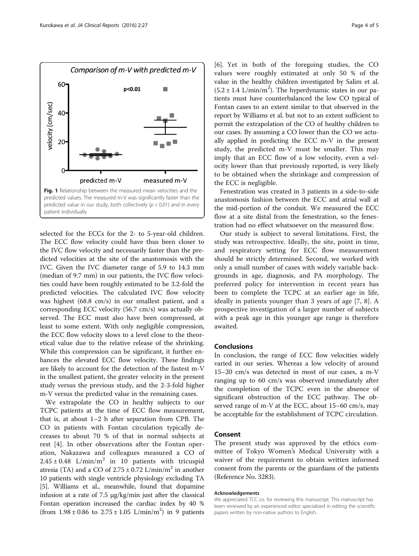<span id="page-3-0"></span>

selected for the ECCs for the 2- to 5-year-old children. The ECC flow velocity could have thus been closer to the IVC flow velocity and necessarily faster than the predicted velocities at the site of the anastomosis with the IVC. Given the IVC diameter range of 5.9 to 14.3 mm (median of 9.7 mm) in our patients, the IVC flow velocities could have been roughly estimated to be 3.2-fold the predicted velocities. The calculated IVC flow velocity was highest (68.8 cm/s) in our smallest patient, and a corresponding ECC velocity (56.7 cm/s) was actually observed. The ECC must also have been compressed, at least to some extent. With only negligible compression, the ECC flow velocity slows to a level close to the theoretical value due to the relative release of the shrinking. While this compression can be significant, it further enhances the elevated ECC flow velocity. These findings are likely to account for the detection of the fastest m-V in the smallest patient, the greater velocity in the present study versus the previous study, and the 2-3-fold higher m-V versus the predicted value in the remaining cases.

We extrapolate the CO in healthy subjects to our TCPC patients at the time of ECC flow measurement, that is, at about 1–2 h after separation from CPB. The CO in patients with Fontan circulation typically decreases to about 70 % of that in normal subjects at rest [[4](#page-4-0)]. In other observations after the Fontan operation, Nakazawa and colleagues measured a CO of  $2.45 \pm 0.48$  L/min/m<sup>2</sup> in 10 patients with tricuspid atresia (TA) and a CO of  $2.75 \pm 0.72$  L/min/m<sup>2</sup> in another 10 patients with single ventricle physiology excluding TA [[5\]](#page-4-0). Williams et al., meanwhile, found that dopamine infusion at a rate of 7.5 μg/kg/min just after the classical Fontan operation increased the cardiac index by 40 % (from  $1.98 \pm 0.86$  to  $2.75 \pm 1.05$  L/min/m<sup>2</sup>) in 9 patients

[[6\]](#page-4-0). Yet in both of the foregoing studies, the CO values were roughly estimated at only 50 % of the value in the healthy children investigated by Salim et al.  $(5.2 \pm 1.4 \text{ L/min/m}^2)$ . The hyperdynamic states in our patients must have counterbalanced the low CO typical of Fontan cases to an extent similar to that observed in the report by Williams et al. but not to an extent sufficient to permit the extrapolation of the CO of healthy children to our cases. By assuming a CO lower than the CO we actually applied in predicting the ECC m-V in the present study, the predicted m-V must be smaller. This may imply that an ECC flow of a low velocity, even a velocity lower than that previously reported, is very likely to be obtained when the shrinkage and compression of the ECC is negligible.

Fenestration was created in 3 patients in a side-to-side anastomosis fashion between the ECC and atrial wall at the mid-portion of the conduit. We measured the ECC flow at a site distal from the fenestration, so the fenestration had no effect whatsoever on the measured flow.

Our study is subject to several limitations. First, the study was retrospective. Ideally, the site, point in time, and respiratory setting for ECC flow measurement should be strictly determined. Second, we worked with only a small number of cases with widely variable backgrounds in age, diagnosis, and PA morphology. The preferred policy for intervention in recent years has been to complete the TCPC at an earlier age in life, ideally in patients younger than 3 years of age [[7](#page-4-0), [8\]](#page-4-0). A prospective investigation of a larger number of subjects with a peak age in this younger age range is therefore awaited.

#### Conclusions

In conclusion, the range of ECC flow velocities widely varied in our series. Whereas a low velocity of around 15–20 cm/s was detected in most of our cases, a m-V ranging up to 60 cm/s was observed immediately after the completion of the TCPC even in the absence of significant obstruction of the ECC pathway. The observed range of m-V at the ECC, about 15–60 cm/s, may be acceptable for the establishment of TCPC circulation.

#### Consent

The present study was approved by the ethics committee of Tokyo Women's Medical University with a waiver of the requirement to obtain written informed consent from the parents or the guardians of the patients (Reference No. 3283).

#### Acknowledgements

We appreciated TCC co. for reviewing this manuscript. This manuscript has been reviewed by an experienced editor specialized in editing the scientific papers written by non-native authors to English.